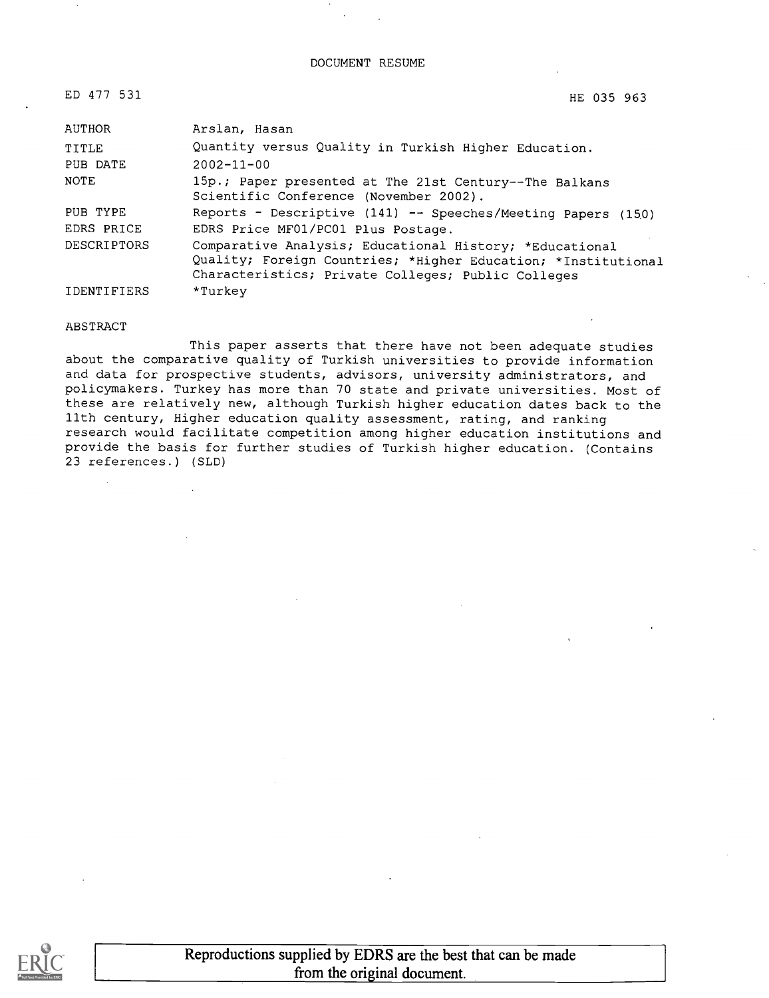DOCUMENT RESUME

| ED 477 531         | HE 035 963                                                                                                                                                                     |
|--------------------|--------------------------------------------------------------------------------------------------------------------------------------------------------------------------------|
| AUTHOR             | Arslan, Hasan                                                                                                                                                                  |
| <b>TITLE</b>       | Quantity versus Quality in Turkish Higher Education.                                                                                                                           |
| PUB DATE           | $2002 - 11 - 00$                                                                                                                                                               |
| NOTE               | 15p.; Paper presented at The 21st Century--The Balkans<br>Scientific Conference (November 2002).                                                                               |
| PUB TYPE           | Reports - Descriptive (141) -- Speeches/Meeting Papers (150)                                                                                                                   |
| EDRS PRICE         | EDRS Price MF01/PC01 Plus Postage.                                                                                                                                             |
| <b>DESCRIPTORS</b> | Comparative Analysis; Educational History; *Educational<br>Quality; Foreign Countries; *Higher Education; *Institutional<br>Characteristics; Private Colleges; Public Colleges |
| <b>IDENTIFIERS</b> | *Turkev                                                                                                                                                                        |

#### ABSTRACT

This paper asserts that there have not been adequate studies about the comparative quality of Turkish universities to provide information and data for prospective students, advisors, university administrators, and policymakers. Turkey has more than 70 state and private universities. Most of these are relatively new, although Turkish higher education dates back to the 11th century, Higher education quality assessment, rating, and ranking research would facilitate competition among higher education institutions and provide the basis for further studies of Turkish higher education. (Contains 23 references.) (SLD)

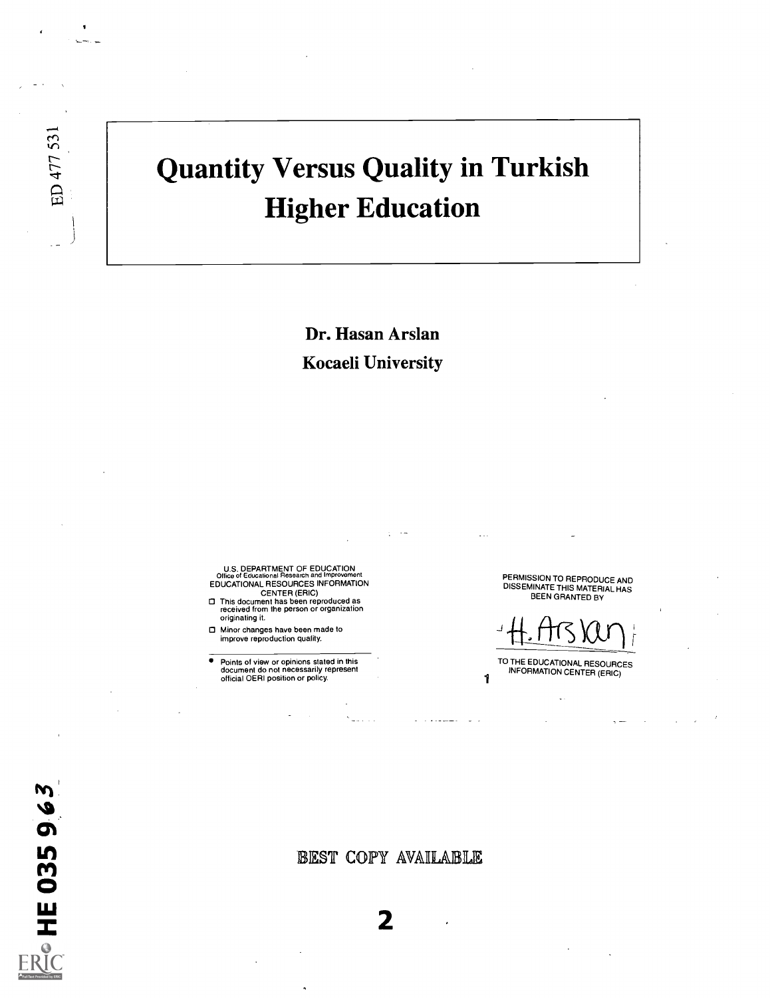# Quantity Versus Quality in Turkish Higher Education

Dr. Hasan Arslan Kocaeli University

U.S. DEPARTMENT OF EDUCATION Office of Educational Research and Improvement EDUCATIONAL RESOURCES INFORMATION CENTER (ERIC)

This document has been reproduced as received from the person or organization originating it.

Minor changes have been made to improve reproduction quality.

 $\bullet$ Points of view or opinions stated in this document do not necessarily represent official OERI position or policy.

PERMISSION TO REPRODUCE AND<br>DISSEMINATE THIS MATERIAL HAS<br>BEEN GRANTED BY

 $H.HIS~VUV$ 

TO THE EDUCATIONAL RESOURCES INFORMATION CENTER (ERIC)

1

ED 477 531

EST COPY AVAILABLE

 $2 \left( \frac{1}{2} \right)$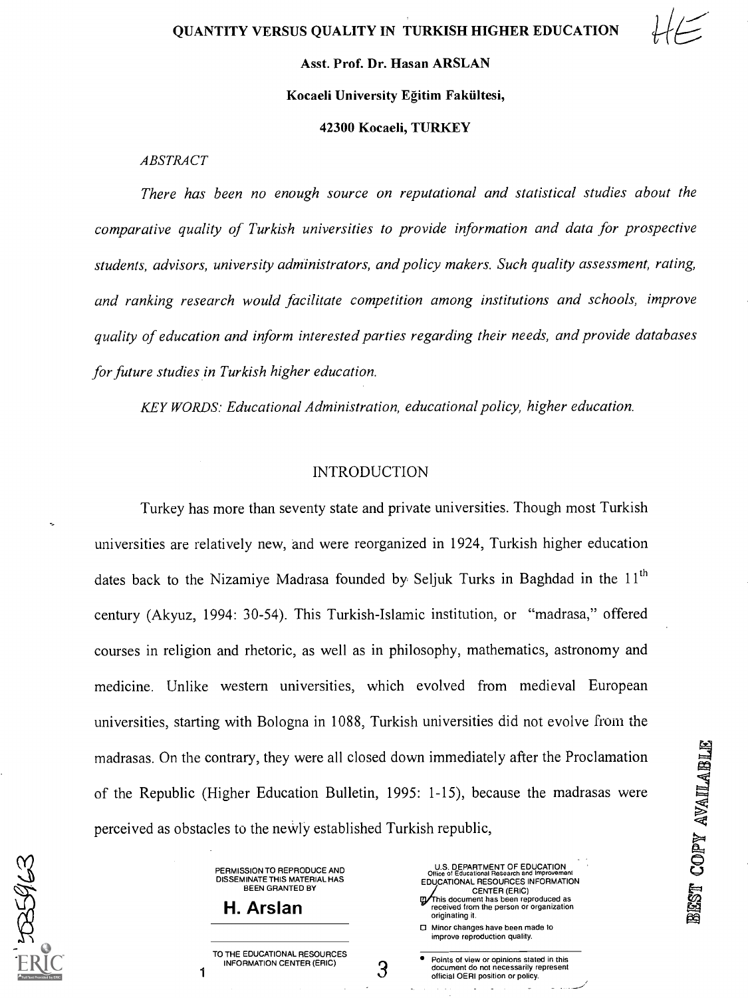#### Asst. Prof. Dr. Hasan ARSLAN

#### Kocaeli University Egitim Fakiiltesi,

#### 42300 Kocaeli, TURKEY

ABSTRACT

There has been no enough source on reputational and statistical studies about the comparative quality of Turkish universities to provide information and data for prospective students, advisors, university administrators, and policy makers. Such quality assessment, rating, and ranking research would facilitate competition among institutions and schools, improve quality of education and inform interested parties regarding their needs, and provide databases for future studies in Turkish higher education.

KEY WORDS: Educational Administration, educational policy, higher education.

#### **INTRODUCTION**

Turkey has more than seventy state and private universities. Though most Turkish universities are relatively new, and were reorganized in 1924, Turkish higher education dates back to the Nizamiye Madrasa founded by Seljuk Turks in Baghdad in the  $11<sup>th</sup>$ century (Akyuz, 1994: 30-54). This Turkish-Islamic institution, or "madrasa," offered courses in religion and rhetoric, as well as in philosophy, mathematics, astronomy and medicine. Unlike western universities, which evolved from medieval European universities, starting with Bologna in 1088, Turkish universities did not evolve from the madrasas. On the contrary, they were all closed down immediately after the Proclamation<br>
of the Republic (Higher Education Bulletin, 1995: 1-15), because the madrasas were<br>
perceived as obstacles to the newly established of the Republic (Higher Education Bulletin, 1995: 1-15), because the madrasas were perceived as obstacles to the newly established Turkish republic,

З

PERMISSION TO REPRODUCE AND DISSEMINATE THIS MATERIAL HAS BEEN GRANTED BY

H. Arslan

1

**ASSA** 

TO THE EDUCATIONAL RESOURCES INFORMATION CENTER (ERIC)

| <b>U.S. DEPARTMENT OF EDUCATION</b><br>Office of Educational Research and Improvement |  |
|---------------------------------------------------------------------------------------|--|
| EDUCATIONAL RESOURCES INFORMATION                                                     |  |
| <b>CENTER (ERIC)</b>                                                                  |  |
| Ty This document has been reproduced as<br>received from the person or organization   |  |
|                                                                                       |  |
| originating it.                                                                       |  |
| □ Minor changes have been made to                                                     |  |

improve reproduction quality.

Points of view or opinions stated in this document do not necessarily represent official OERI position or policy.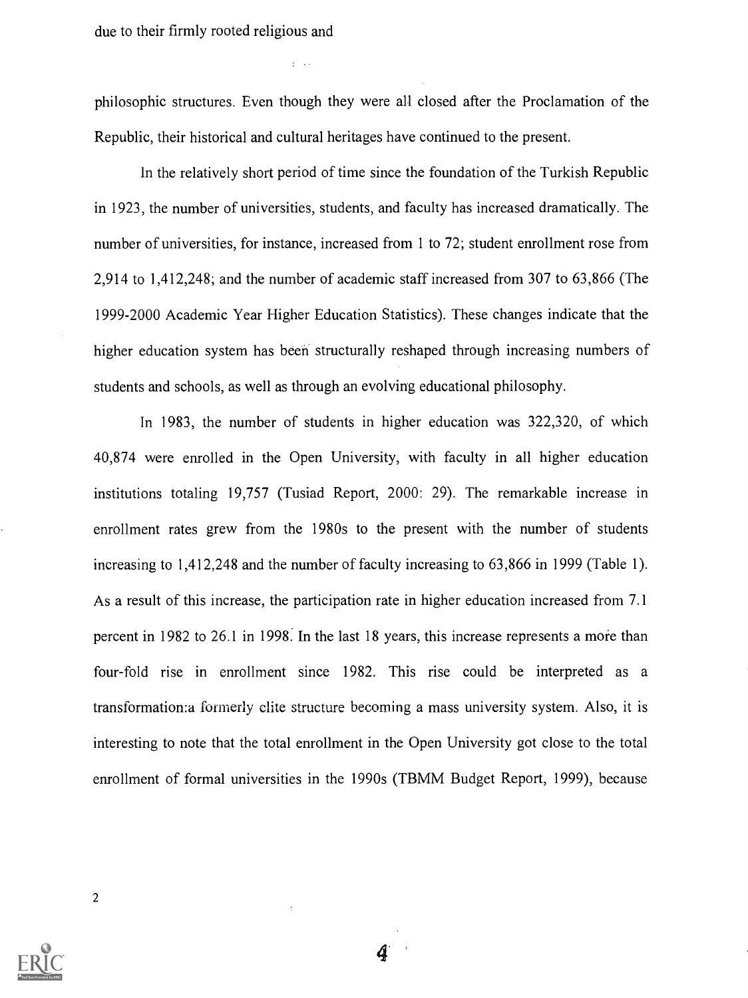due to their firmly rooted religious and

philosophic structures. Even though they were all closed after the Proclamation of the Republic, their historical and cultural heritages have continued to the present.

In the relatively short period of time since the foundation of the Turkish Republic in 1923, the number of universities, students, and faculty has increased dramatically. The number of universities, for instance, increased from 1 to 72; student enrollment rose from 2,914 to 1,412,248; and the number of academic staff increased from 307 to 63,866 (The 1999-2000 Academic Year Higher Education Statistics). These changes indicate that the higher education system has been structurally reshaped through increasing numbers of students and schools, as well as through an evolving educational philosophy.

In 1983, the number of students in higher education was 322,320, of which 40,874 were enrolled in the Open University, with faculty in all higher education institutions totaling 19,757 (Tusiad Report, 2000: 29). The remarkable increase in enrollment rates grew from the 1980s to the present with the number of students increasing to 1,412,248 and the number of faculty increasing to 63,866 in 1999 (Table 1). As a result of this increase, the participation rate in higher education increased from 7.1 percent in 1982 to 26.1 in 1998. In the last 18 years, this increase represents a more than four-fold rise in enrollment since 1982. This rise could be interpreted as a transformation:a formerly elite structure becoming a mass university system. Also, it is interesting to note that the total enrollment in the Open University got close to the total enrollment of formal universities in the 1990s (TBMM Budget Report, 1999), because

2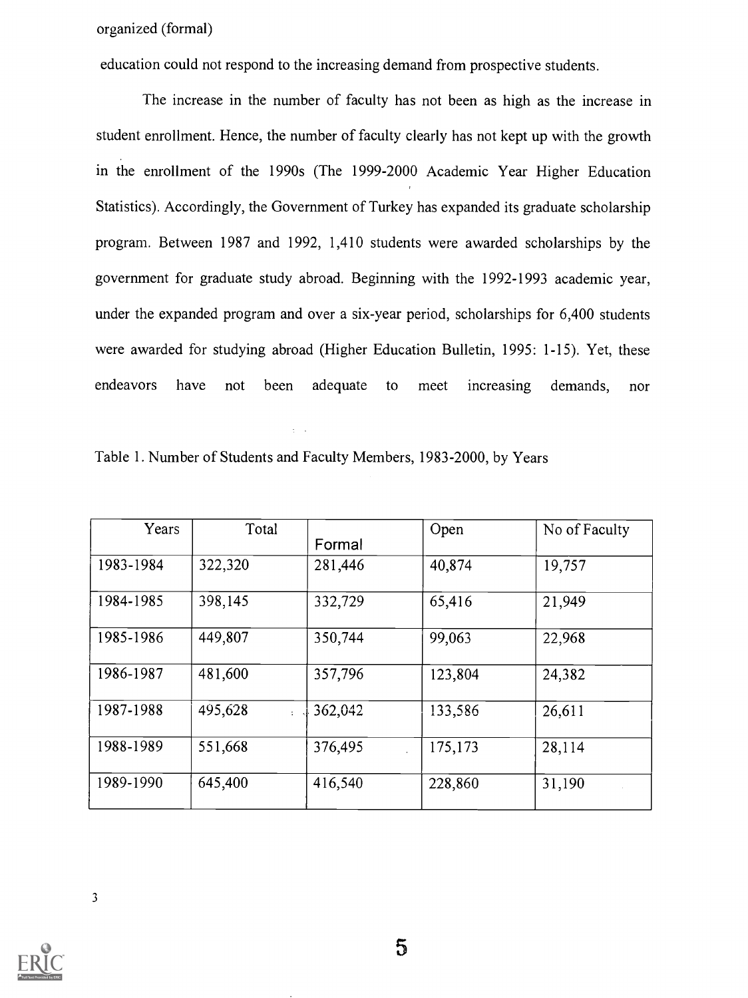organized (formal)

education could not respond to the increasing demand from prospective students.

The increase in the number of faculty has not been as high as the increase in student enrollment. Hence, the number of faculty clearly has not kept up with the growth in the enrollment of the 1990s (The 1999-2000 Academic Year Higher Education Statistics). Accordingly, the Government of Turkey has expanded its graduate scholarship program. Between 1987 and 1992, 1,410 students were awarded scholarships by the government for graduate study abroad. Beginning with the 1992-1993 academic year, under the expanded program and over a six-year period, scholarships for 6,400 students were awarded for studying abroad (Higher Education Bulletin, 1995: 1-15). Yet, these endeavors have not been adequate to meet increasing demands, nor

| Table 1. Number of Students and Faculty Members, 1983-2000, by Years |  |
|----------------------------------------------------------------------|--|
|----------------------------------------------------------------------|--|

| Years     | Total                           | Formal  | Open    | No of Faculty |
|-----------|---------------------------------|---------|---------|---------------|
| 1983-1984 | 322,320                         | 281,446 | 40,874  | 19,757        |
| 1984-1985 | 398,145                         | 332,729 | 65,416  | 21,949        |
| 1985-1986 | 449,807                         | 350,744 | 99,063  | 22,968        |
| 1986-1987 | 481,600                         | 357,796 | 123,804 | 24,382        |
| 1987-1988 | 495,628<br>$\ddot{\phantom{a}}$ | 362,042 | 133,586 | 26,611        |
| 1988-1989 | 551,668                         | 376,495 | 175,173 | 28,114        |
| 1989-1990 | 645,400                         | 416,540 | 228,860 | 31,190        |

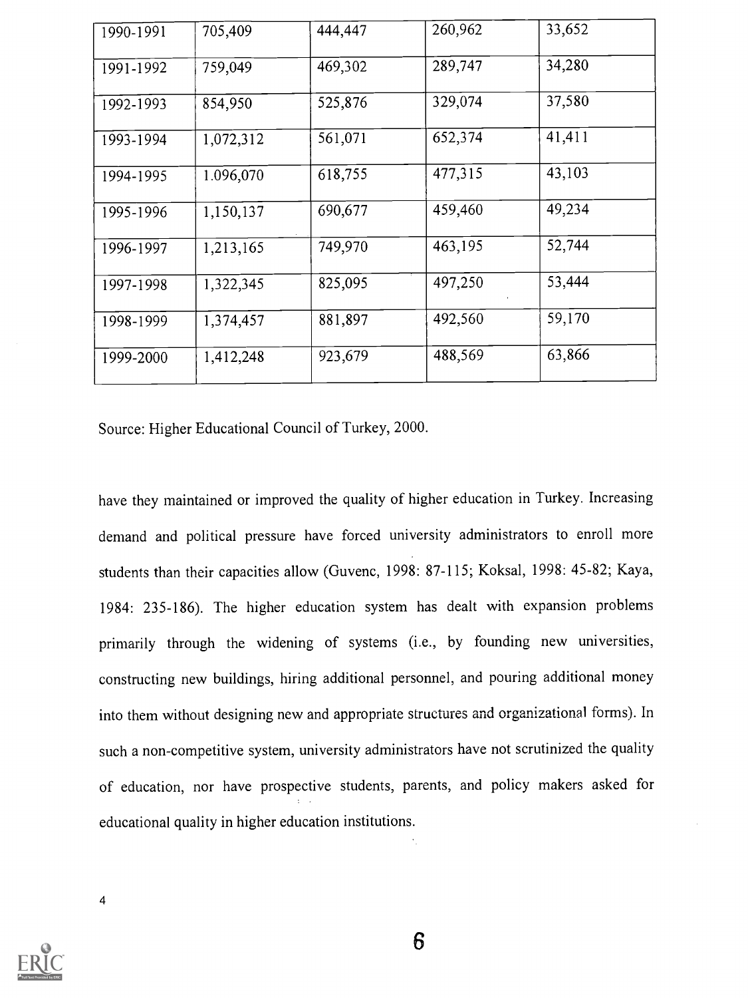| 1990-1991 | 705,409   | 444,447 | 260,962 | 33,652 |
|-----------|-----------|---------|---------|--------|
| 1991-1992 | 759,049   | 469,302 | 289,747 | 34,280 |
| 1992-1993 | 854,950   | 525,876 | 329,074 | 37,580 |
| 1993-1994 | 1,072,312 | 561,071 | 652,374 | 41,411 |
| 1994-1995 | 1.096,070 | 618,755 | 477,315 | 43,103 |
| 1995-1996 | 1,150,137 | 690,677 | 459,460 | 49,234 |
| 1996-1997 | 1,213,165 | 749,970 | 463,195 | 52,744 |
| 1997-1998 | 1,322,345 | 825,095 | 497,250 | 53,444 |
| 1998-1999 | 1,374,457 | 881,897 | 492,560 | 59,170 |
| 1999-2000 | 1,412,248 | 923,679 | 488,569 | 63,866 |

Source: Higher Educational Council of Turkey, 2000.

have they maintained or improved the quality of higher education in Turkey. Increasing demand and political pressure have forced university administrators to enroll more students than their capacities allow (Guvenc, 1998: 87-115; Koksal, 1998: 45-82; Kaya, 1984: 235-186). The higher education system has dealt with expansion problems primarily through the widening of systems (i.e., by founding new universities, constructing new buildings, hiring additional personnel, and pouring additional money into them without designing new and appropriate structures and organizational forms). In such a non-competitive system, university administrators have not scrutinized the quality of education, nor have prospective students, parents, and policy makers asked for educational quality in higher education institutions.

4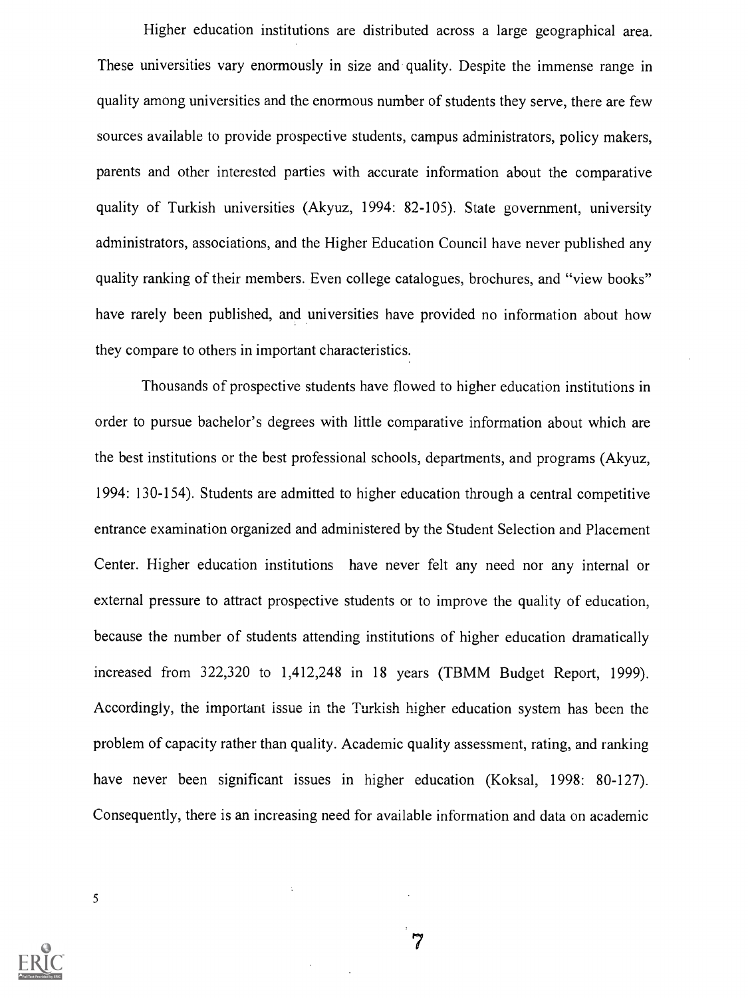Higher education institutions are distributed across a large geographical area. These universities vary enormously in size and quality. Despite the immense range in quality among universities and the enormous number of students they serve, there are few sources available to provide prospective students, campus administrators, policy makers, parents and other interested parties with accurate information about the comparative quality of Turkish universities (Akyuz, 1994: 82-105). State government, university administrators, associations, and the Higher Education Council have never published any quality ranking of their members. Even college catalogues, brochures, and "view books" have rarely been published, and universities have provided no information about how they compare to others in important characteristics.

Thousands of prospective students have flowed to higher education institutions in order to pursue bachelor's degrees with little comparative information about which are the best institutions or the best professional schools, departments, and programs (Akyuz, 1994: 130-154). Students are admitted to higher education through a central competitive entrance examination organized and administered by the Student Selection and Placement Center. Higher education institutions have never felt any need nor any internal or external pressure to attract prospective students or to improve the quality of education, because the number of students attending institutions of higher education dramatically increased from 322,320 to 1,412,248 in 18 years (TBMM Budget Report, 1999). Accordingly, the important issue in the Turkish higher education system has been the problem of capacity rather than quality. Academic quality assessment, rating, and ranking have never been significant issues in higher education (Koksal, 1998: 80-127). Consequently, there is an increasing need for available information and data on academic

 $\overline{7}$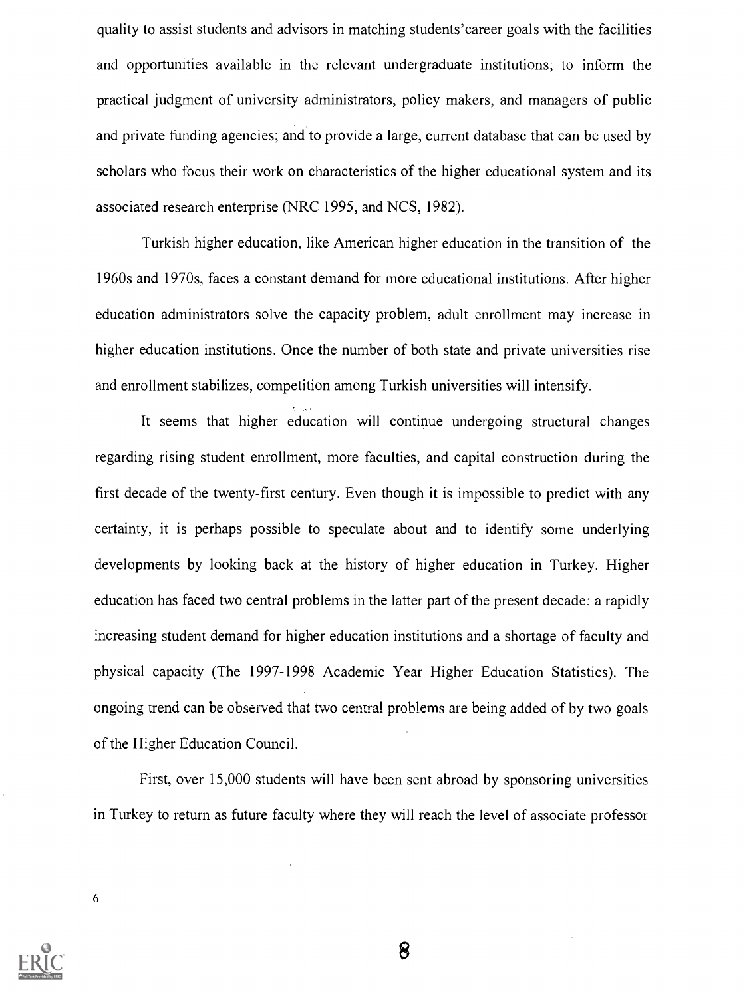quality to assist students and advisors in matching students'career goals with the facilities and opportunities available in the relevant undergraduate institutions; to inform the practical judgment of university administrators, policy makers, and managers of public and private funding agencies; and to provide a large, current database that can be used by scholars who focus their work on characteristics of the higher educational system and its associated research enterprise (NRC 1995, and NCS, 1982).

Turkish higher education, like American higher education in the transition of the 1960s and 1970s, faces a constant demand for more educational institutions. After higher education administrators solve the capacity problem, adult enrollment may increase in higher education institutions. Once the number of both state and private universities rise and enrollment stabilizes, competition among Turkish universities will intensify.

It seems that higher education will continue undergoing structural changes regarding rising student enrollment, more faculties, and capital construction during the first decade of the twenty-first century. Even though it is impossible to predict with any certainty, it is perhaps possible to speculate about and to identify some underlying developments by looking back at the history of higher education in Turkey. Higher education has faced two central problems in the latter part of the present decade: a rapidly increasing student demand for higher education institutions and a shortage of faculty and physical capacity (The 1997-1998 Academic Year Higher Education Statistics). The ongoing trend can be observed that two central problems are being added of by two goals of the Higher Education Council.

First, over 15,000 students will have been sent abroad by sponsoring universities in Turkey to return as future faculty where they will reach the level of associate professor

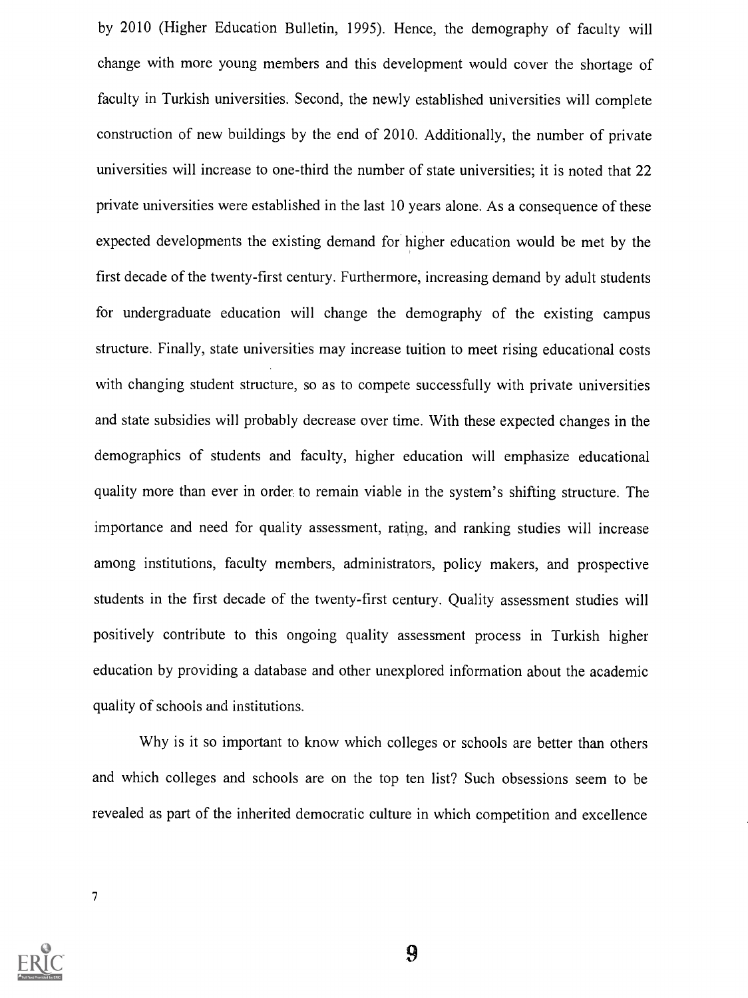by 2010 (Higher Education Bulletin, 1995). Hence, the demography of faculty will change with more young members and this development would cover the shortage of faculty in Turkish universities. Second, the newly established universities will complete construction of new buildings by the end of 2010. Additionally, the number of private universities will increase to one-third the number of state universities; it is noted that 22 private universities were established in the last 10 years alone. As a consequence of these expected developments the existing demand for higher education would be met by the first decade of the twenty-first century. Furthermore, increasing demand by adult students for undergraduate education will change the demography of the existing campus structure. Finally, state universities may increase tuition to meet rising educational costs with changing student structure, so as to compete successfully with private universities and state subsidies will probably decrease over time. With these expected changes in the demographics of students and faculty, higher education will emphasize educational quality more than ever in order to remain viable in the system's shifting structure. The importance and need for quality assessment, rating, and ranking studies will increase among institutions, faculty members, administrators, policy makers, and prospective students in the first decade of the twenty-first century. Quality assessment studies will positively contribute to this ongoing quality assessment process in Turkish higher education by providing a database and other unexplored information about the academic quality of schools and institutions.

Why is it so important to know which colleges or schools are better than others and which colleges and schools are on the top ten list? Such obsessions seem to be revealed as part of the inherited democratic culture in which competition and excellence

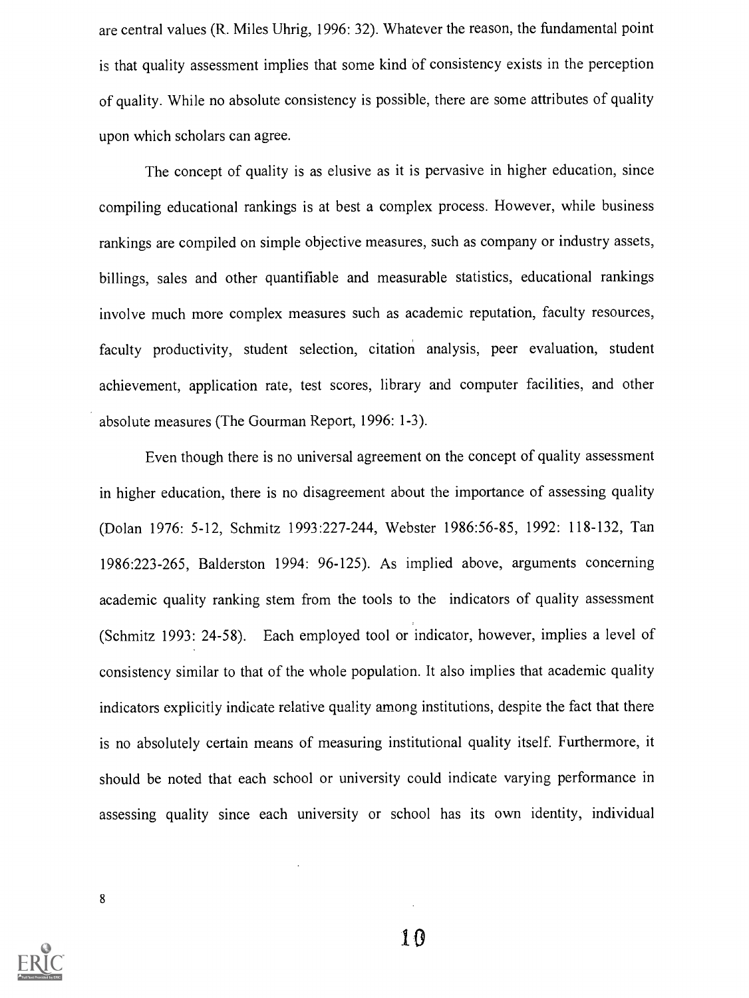are central values (R. Miles Uhrig, 1996: 32). Whatever the reason, the fundamental point is that quality assessment implies that some kind of consistency exists in the perception of quality. While no absolute consistency is possible, there are some attributes of quality upon which scholars can agree.

The concept of quality is as elusive as it is pervasive in higher education, since compiling educational rankings is at best a complex process. However, while business rankings are compiled on simple objective measures, such as company or industry assets, billings, sales and other quantifiable and measurable statistics, educational rankings involve much more complex measures such as academic reputation, faculty resources, faculty productivity, student selection, citation analysis, peer evaluation, student achievement, application rate, test scores, library and computer facilities, and other absolute measures (The Gourman Report, 1996: 1-3).

Even though there is no universal agreement on the concept of quality assessment in higher education, there is no disagreement about the importance of assessing quality (Dolan 1976: 5-12, Schmitz 1993:227-244, Webster 1986:56-85, 1992: 118-132, Tan 1986:223-265, Balderston 1994: 96-125). As implied above, arguments concerning academic quality ranking stem from the tools to the indicators of quality assessment (Schmitz 1993: 24-58). Each employed tool or indicator, however, implies a level of consistency similar to that of the whole population. It also implies that academic quality indicators explicitly indicate relative quality among institutions, despite the fact that there is no absolutely certain means of measuring institutional quality itself. Furthermore, it should be noted that each school or university could indicate varying performance in assessing quality since each university or school has its own identity, individual

8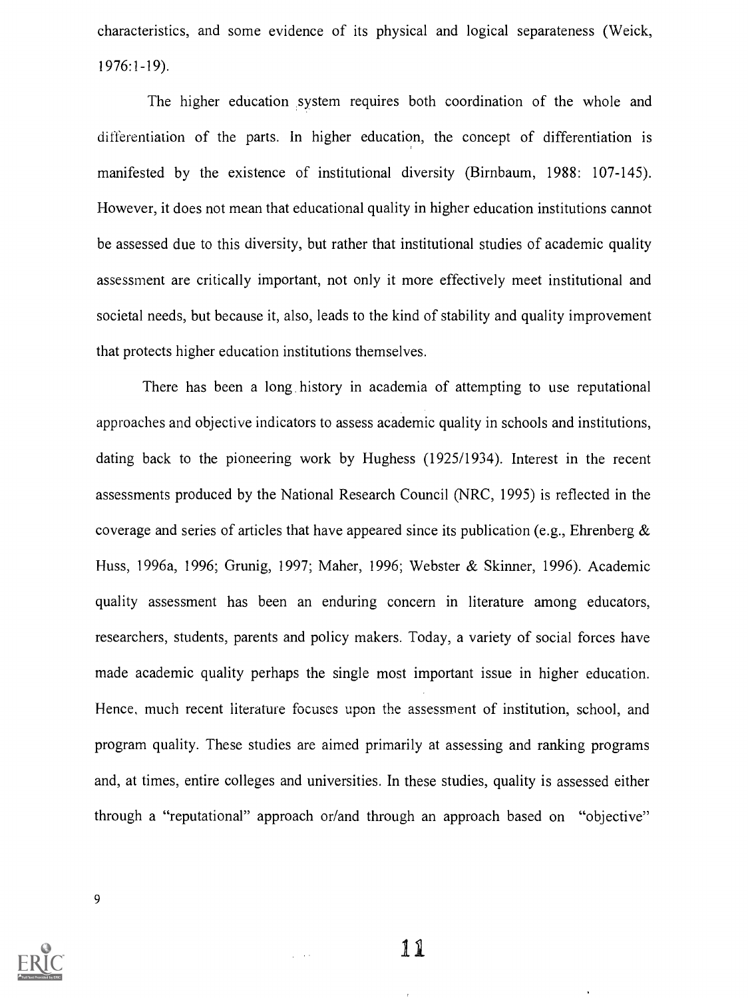characteristics, and some evidence of its physical and logical separateness (Weick, 1976:1-19).

The higher education system requires both coordination of the whole and differentiation of the parts. In higher education, the concept of differentiation is manifested by the existence of institutional diversity (Birnbaum, 1988: 107-145). However, it does not mean that educational quality in higher education institutions cannot be assessed due to this diversity, but rather that institutional studies of academic quality assessment are critically important, not only it more effectively meet institutional and societal needs, but because it, also, leads to the kind of stability and quality improvement that protects higher education institutions themselves.

There has been a long history in academia of attempting to use reputational approaches and objective indicators to assess academic quality in schools and institutions, dating back to the pioneering work by Hughess (1925/1934). Interest in the recent assessments produced by the National Research Council (NRC, 1995) is reflected in the coverage and series of articles that have appeared since its publication (e.g., Ehrenberg  $\&$ Huss, 1996a, 1996; Grunig, 1997; Maher, 1996; Webster & Skinner, 1996). Academic quality assessment has been an enduring concern in literature among educators, researchers, students, parents and policy makers. Today, a variety of social forces have made academic quality perhaps the single most important issue in higher education. Hence, much recent literature focuses upon the assessment of institution, school, and program quality. These studies are aimed primarily at assessing and ranking programs and, at times, entire colleges and universities. In these studies, quality is assessed either through a "reputational" approach or/and through an approach based on "objective"

9



11

 $\sim$  .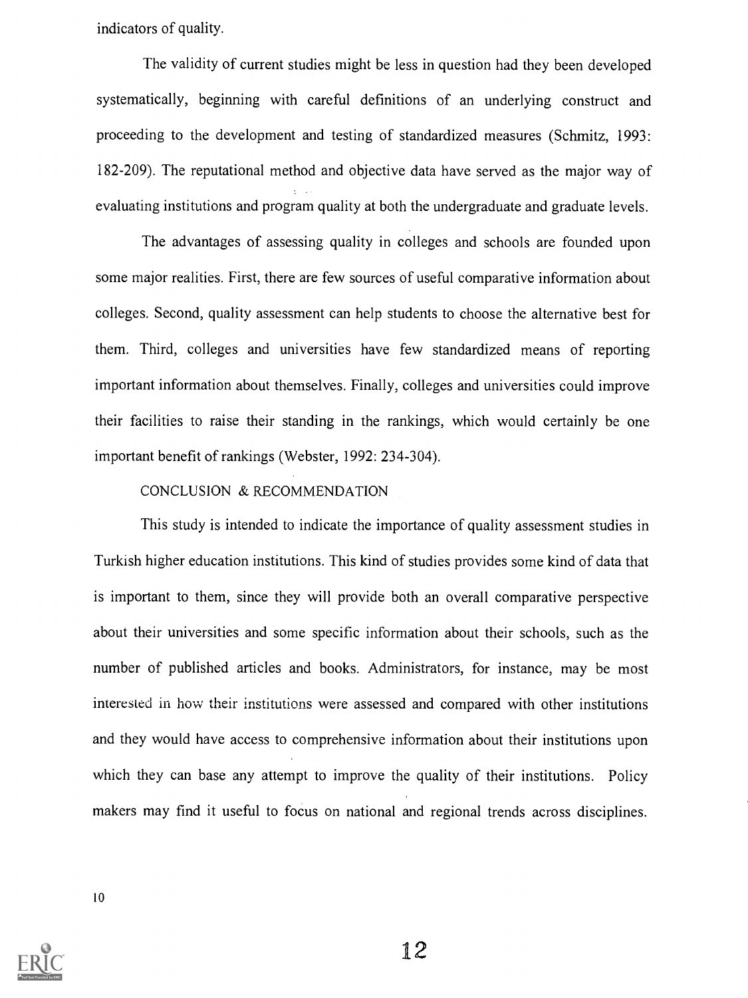indicators of quality.

The validity of current studies might be less in question had they been developed systematically, beginning with careful definitions of an underlying construct and proceeding to the development and testing of standardized measures (Schmitz, 1993: 182-209). The reputational method and objective data have served as the major way of evaluating institutions and program quality at both the undergraduate and graduate levels.

The advantages of assessing quality in colleges and schools are founded upon some major realities. First, there are few sources of useful comparative information about colleges. Second, quality assessment can help students to choose the alternative best for them. Third, colleges and universities have few standardized means of reporting important information about themselves. Finally, colleges and universities could improve their facilities to raise their standing in the rankings, which would certainly be one important benefit of rankings (Webster, 1992: 234-304).

#### CONCLUSION & RECOMMENDATION

This study is intended to indicate the importance of quality assessment studies in Turkish higher education institutions. This kind of studies provides some kind of data that is important to them, since they will provide both an overall comparative perspective about their universities and some specific information about their schools, such as the number of published articles and books. Administrators, for instance, may be most interested in how their institutions were assessed and compared with other institutions and they would have access to comprehensive information about their institutions upon which they can base any attempt to improve the quality of their institutions. Policy makers may find it useful to focus on national and regional trends across disciplines.

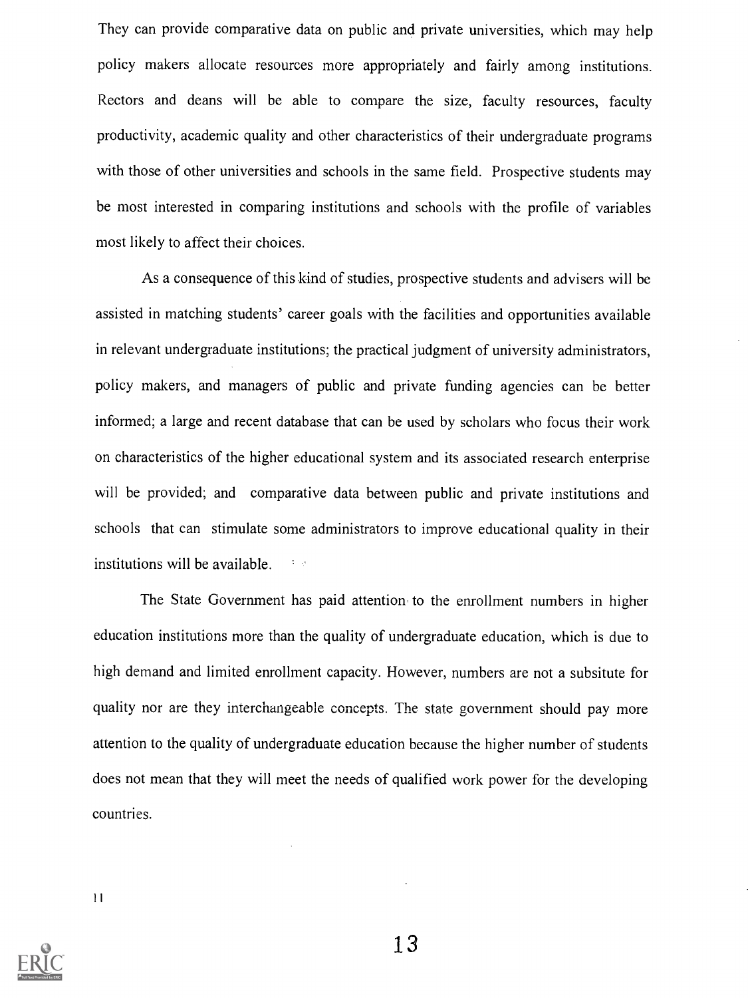They can provide comparative data on public and private universities, which may help policy makers allocate resources more appropriately and fairly among institutions. Rectors and deans will be able to compare the size, faculty resources, faculty productivity, academic quality and other characteristics of their undergraduate programs with those of other universities and schools in the same field. Prospective students may be most interested in comparing institutions and schools with the profile of variables most likely to affect their choices.

As a consequence of this kind of studies, prospective students and advisers will be assisted in matching students' career goals with the facilities and opportunities available in relevant undergraduate institutions; the practical judgment of university administrators, policy makers, and managers of public and private funding agencies can be better informed; a large and recent database that can be used by scholars who focus their work on characteristics of the higher educational system and its associated research enterprise will be provided; and comparative data between public and private institutions and schools that can stimulate some administrators to improve educational quality in their institutions will be available.

The State Government has paid attention to the enrollment numbers in higher education institutions more than the quality of undergraduate education, which is due to high demand and limited enrollment capacity. However, numbers are not a subsitute for quality nor are they interchangeable concepts. The state government should pay more attention to the quality of undergraduate education because the higher number of students does not mean that they will meet the needs of qualified work power for the developing countries.

11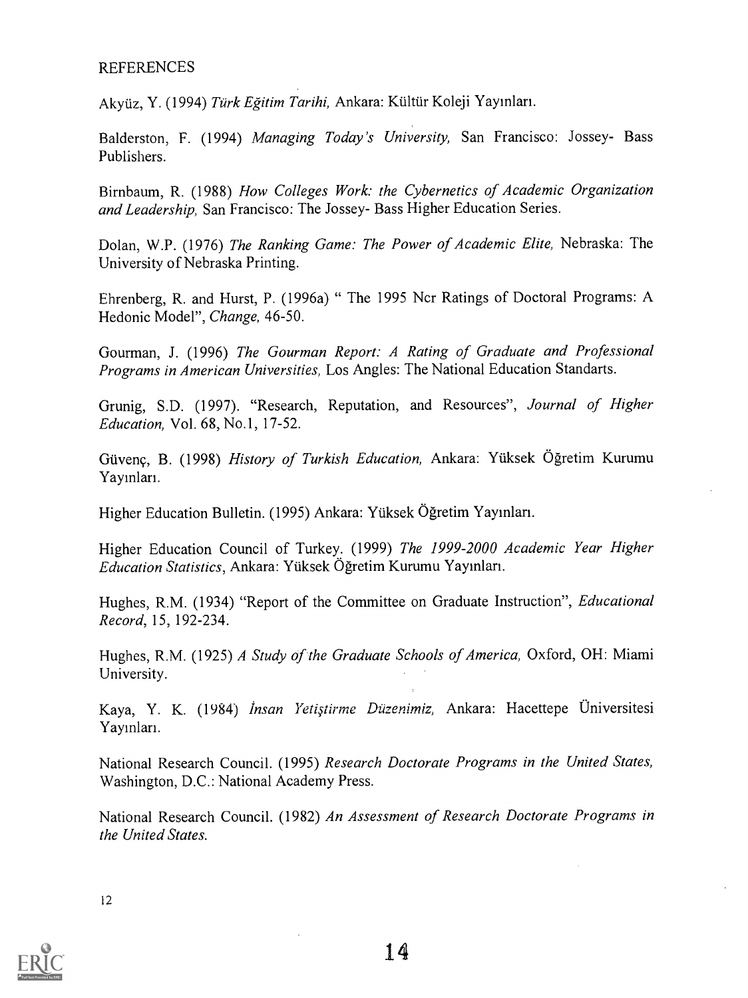### REFERENCES

Akyüz, Y. (1994) Türk Eğitim Tarihi, Ankara: Kültür Koleji Yayınları.

Balderston, F. (1994) Managing Today's University, San Francisco: Jossey- Bass Publishers.

Birnbaum, R. (1988) How Colleges Work: the Cybernetics of Academic Organization and Leadership, San Francisco: The Jossey- Bass Higher Education Series.

Dolan, W.P. (1976) The Ranking Game: The Power of Academic Elite, Nebraska: The University of Nebraska Printing.

Ehrenberg, R. and Hurst, P. (1996a) " The 1995 Ncr Ratings of Doctoral Programs: A Hedonic Model", Change, 46-50.

Gourman, J. (1996) The Gourman Report: A Rating of Graduate and Professional Programs in American Universities, Los Angles: The National Education Standarts.

Grunig, S.D. (1997). "Research, Reputation, and Resources", Journal of Higher Education, Vol. 68, No.1, 17-52.

Güvenç, B. (1998) History of Turkish Education, Ankara: Yüksek Öğretim Kurumu Yayınları.

Higher Education Bulletin. (1995) Ankara: Yiiksek Ogretim Yayinlan.

Higher Education Council of Turkey. (1999) The 1999-2000 Academic Year Higher Education Statistics, Ankara: Yiiksek Ogretim Kurumu Yaymlan.

Hughes, R.M. (1934) "Report of the Committee on Graduate Instruction", Educational Record, 15, 192-234.

Hughes, R.M. (1925) A Study of the Graduate Schools of America, Oxford, OH: Miami University.

Kaya, Y. K. (1984) *İnsan Yetiştirme Düzenimiz*, Ankara: Hacettepe Üniversitesi Yayınları.

National Research Council. (1995) Research Doctorate Programs in the United States, Washington, D.C.: National Academy Press.

National Research Council. (1982) An Assessment of Research Doctorate Programs in the United States.

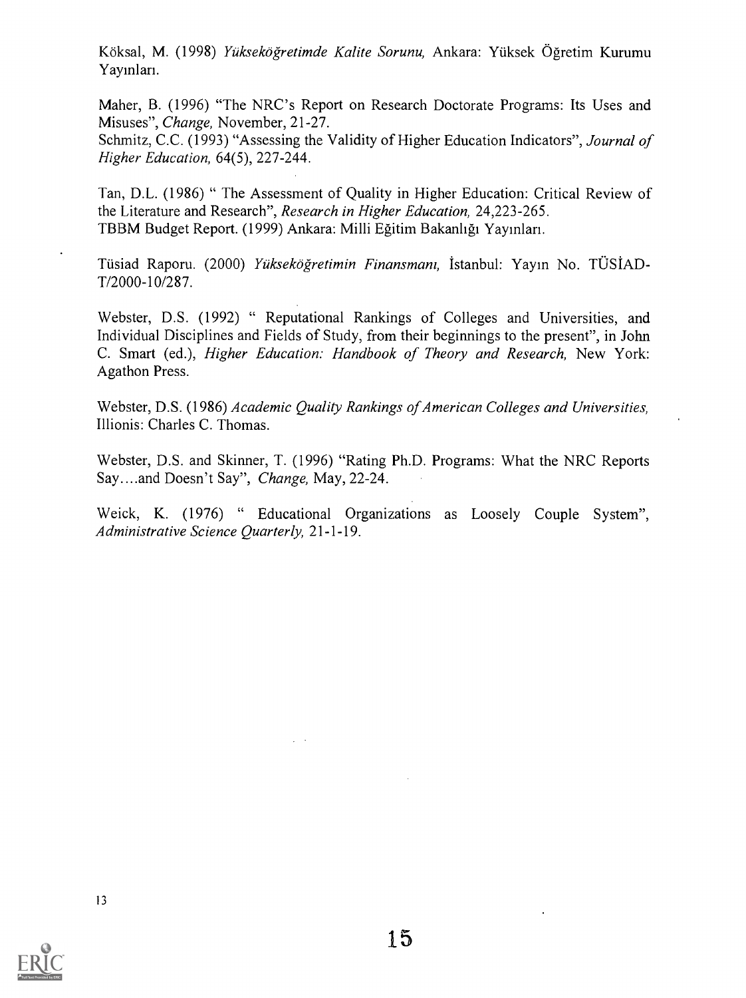Köksal, M. (1998) Yükseköğretimde Kalite Sorunu, Ankara: Yüksek Öğretim Kurumu Yayınları.

Maher, B. (1996) "The NRC's Report on Research Doctorate Programs: Its Uses and Misuses", Change, November, 21-27.

Schmitz, C.C. (1993) "Assessing the Validity of Higher Education Indicators", *Journal of* Higher Education, 64(5), 227-244.

Tan, D.L. (1986) " The Assessment of Quality in Higher Education: Critical Review of the Literature and Research", Research in Higher Education, 24,223-265. TBBM Budget Report. (1999) Ankara: Milli Egitim Bakanligi Yayinlan.

Tüsiad Raporu. (2000) *Yükseköğretimin Finansmanı*, İstanbul: Yayın No. TÜSİAD-T/2000-10/287.

Webster, D.S. (1992) " Reputational Rankings of Colleges and Universities, and Individual Disciplines and Fields of Study, from their beginnings to the present", in John C. Smart (ed.), Higher Education: Handbook of Theory and Research, New York: Agathon Press.

Webster, D.S. (1986) Academic Quality Rankings of American Colleges and Universities, Illionis: Charles C. Thomas.

Webster, D.S. and Skinner, T. (1996) "Rating Ph.D. Programs: What the NRC Reports Say....and Doesn't Say", Change, May, 22-24.

Weick, K. (1976) " Educational Organizations as Loosely Couple System", Administrative Science Quarterly, 21-1-19.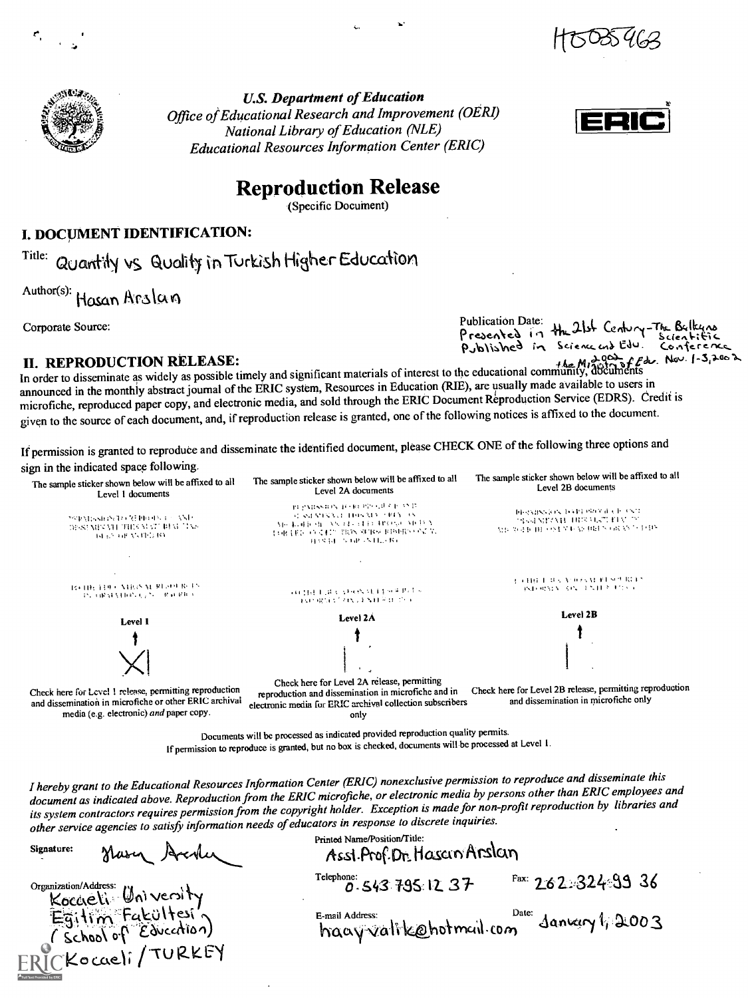



U.S. Department of Education Office of Educational Research and Improvement (OERI) National Library of Education (NLE) Educational Resources Information Center (ERIC)



## Reproduction Release

(Specific Document)

#### I. DOCUMENT IDENTIFICATION:

Title: Quantily vs Quality in Turkish Higher Education

Author(s): Hasan Arslan

Corporate Source:

Publication Date: He 21st Century The Bellegare<br>
Author(s): HOSAN AFSIAM<br>
Corporate Source:<br>
IL, REPRODUCTION RELEASE:<br>
n order to disseminate as widely as possible timely and significant materials of interest to the educa II. REPRODUCTION RELEASE:<br>In order to disseminate as widely as possible timely and significant materials of interest to the educational community, documents announced in the monthly abstract journal of the ERIC system, Resources in Education (RIE), are usually made available to users in<br>announced in the monthly abstract journal of the ERIC system, Resources in Education (RIE), announced in the monthly abstract journal of the ERIC system, Resources in Education (RIE), are usually made available to users in<br>microfiche, reproduced paper copy, and electronic media, and sold through the ERIC Document given to the source of each document, and, if reproduction release is granted, one of the following notices is affixed to the document.

If permission is granted to reproduce and disseminate the identified document, please CHECK ONE of the following three options and sign in the indicated space following.



If permission to reproduce is granted, but no box is checked, documents will be processed at Level 1.

I hereby grant to the Educational Resources Information Center (ERIC) nonexclusive permission to reproduce and disseminate this document as indicated above. Reproduction from the ERIC microfiche, or electronic media by persons other than ERIC employees and its system contractors requires permission from the copyright holder. Exception is made for non-profit reproduction by libraries and other service agencies to satisfy information needs of educators in response to discrete inquiries.

Signature: Haven Arcolin

Organization/Address: University Koccieli University Fakültesi'n  $C\&chod$  of  $E\&chod$ Kocaeli/<sup>TUKKE</sup>Y

Printed Name/Position/Title: Assi.Prof.Dr. Hascin Arslan Telephone:  $0.543$  795: 12:  $37$  Fax:  $2.62.324$  33:  $36$ 

E-mail Address:  $\frac{D_{\text{ate}}}{D_{\text{ate}}}\$ danvery  $\sqrt{\frac{2003}{1}}$